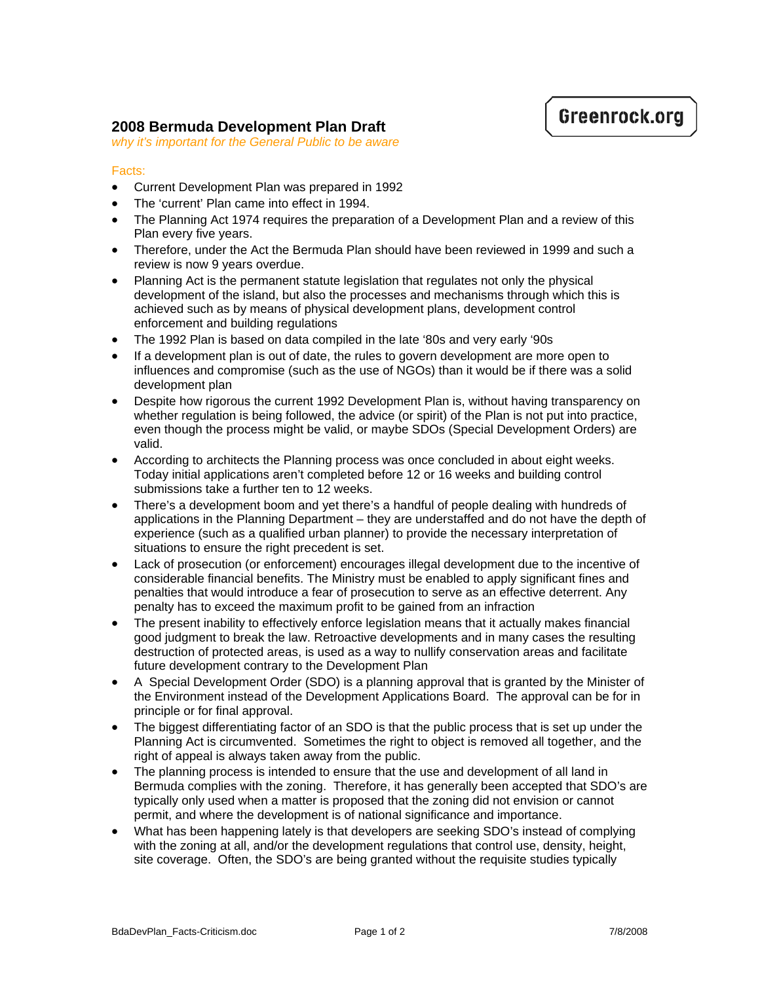## Greenrock.org

## **2008 Bermuda Development Plan Draft**

*why it's important for the General Public to be aware*

## Facts:

- Current Development Plan was prepared in 1992
- The 'current' Plan came into effect in 1994.
- The Planning Act 1974 requires the preparation of a Development Plan and a review of this Plan every five years.
- Therefore, under the Act the Bermuda Plan should have been reviewed in 1999 and such a review is now 9 years overdue.
- Planning Act is the permanent statute legislation that regulates not only the physical development of the island, but also the processes and mechanisms through which this is achieved such as by means of physical development plans, development control enforcement and building regulations
- The 1992 Plan is based on data compiled in the late '80s and very early '90s
- If a development plan is out of date, the rules to govern development are more open to influences and compromise (such as the use of NGOs) than it would be if there was a solid development plan
- Despite how rigorous the current 1992 Development Plan is, without having transparency on whether regulation is being followed, the advice (or spirit) of the Plan is not put into practice, even though the process might be valid, or maybe SDOs (Special Development Orders) are valid.
- According to architects the Planning process was once concluded in about eight weeks. Today initial applications aren't completed before 12 or 16 weeks and building control submissions take a further ten to 12 weeks.
- There's a development boom and yet there's a handful of people dealing with hundreds of applications in the Planning Department – they are understaffed and do not have the depth of experience (such as a qualified urban planner) to provide the necessary interpretation of situations to ensure the right precedent is set.
- Lack of prosecution (or enforcement) encourages illegal development due to the incentive of considerable financial benefits. The Ministry must be enabled to apply significant fines and penalties that would introduce a fear of prosecution to serve as an effective deterrent. Any penalty has to exceed the maximum profit to be gained from an infraction
- The present inability to effectively enforce legislation means that it actually makes financial good judgment to break the law. Retroactive developments and in many cases the resulting destruction of protected areas, is used as a way to nullify conservation areas and facilitate future development contrary to the Development Plan
- A Special Development Order (SDO) is a planning approval that is granted by the Minister of the Environment instead of the Development Applications Board. The approval can be for in principle or for final approval.
- The biggest differentiating factor of an SDO is that the public process that is set up under the Planning Act is circumvented. Sometimes the right to object is removed all together, and the right of appeal is always taken away from the public.
- The planning process is intended to ensure that the use and development of all land in Bermuda complies with the zoning. Therefore, it has generally been accepted that SDO's are typically only used when a matter is proposed that the zoning did not envision or cannot permit, and where the development is of national significance and importance.
- What has been happening lately is that developers are seeking SDO's instead of complying with the zoning at all, and/or the development regulations that control use, density, height, site coverage. Often, the SDO's are being granted without the requisite studies typically